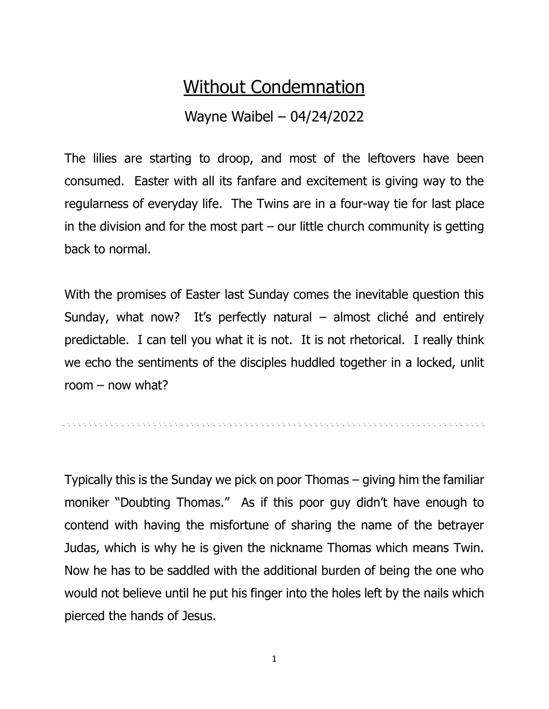## Without Condemnation

## Wayne Waibel – 04/24/2022

The lilies are starting to droop, and most of the leftovers have been consumed. Easter with all its fanfare and excitement is giving way to the regularness of everyday life. The Twins are in a four-way tie for last place in the division and for the most part  $-$  our little church community is getting back to normal.

With the promises of Easter last Sunday comes the inevitable question this Sunday, what now? It's perfectly natural – almost cliché and entirely predictable. I can tell you what it is not. It is not rhetorical. I really think we echo the sentiments of the disciples huddled together in a locked, unlit room – now what?

Typically this is the Sunday we pick on poor Thomas – giving him the familiar moniker "Doubting Thomas." As if this poor guy didn't have enough to contend with having the misfortune of sharing the name of the betrayer Judas, which is why he is given the nickname Thomas which means Twin. Now he has to be saddled with the additional burden of being the one who would not believe until he put his finger into the holes left by the nails which pierced the hands of Jesus.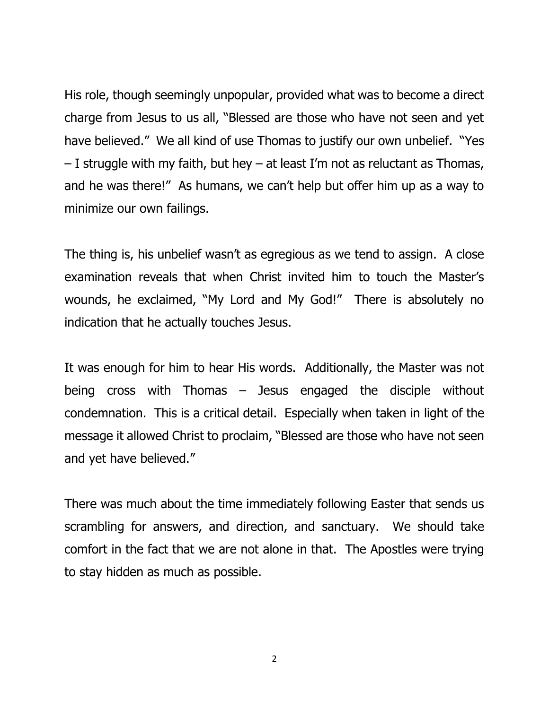His role, though seemingly unpopular, provided what was to become a direct charge from Jesus to us all, "Blessed are those who have not seen and yet have believed." We all kind of use Thomas to justify our own unbelief. "Yes – I struggle with my faith, but hey – at least I'm not as reluctant as Thomas, and he was there!" As humans, we can't help but offer him up as a way to minimize our own failings.

The thing is, his unbelief wasn't as egregious as we tend to assign. A close examination reveals that when Christ invited him to touch the Master's wounds, he exclaimed, "My Lord and My God!" There is absolutely no indication that he actually touches Jesus.

It was enough for him to hear His words. Additionally, the Master was not being cross with Thomas – Jesus engaged the disciple without condemnation. This is a critical detail. Especially when taken in light of the message it allowed Christ to proclaim, "Blessed are those who have not seen and yet have believed."

There was much about the time immediately following Easter that sends us scrambling for answers, and direction, and sanctuary. We should take comfort in the fact that we are not alone in that. The Apostles were trying to stay hidden as much as possible.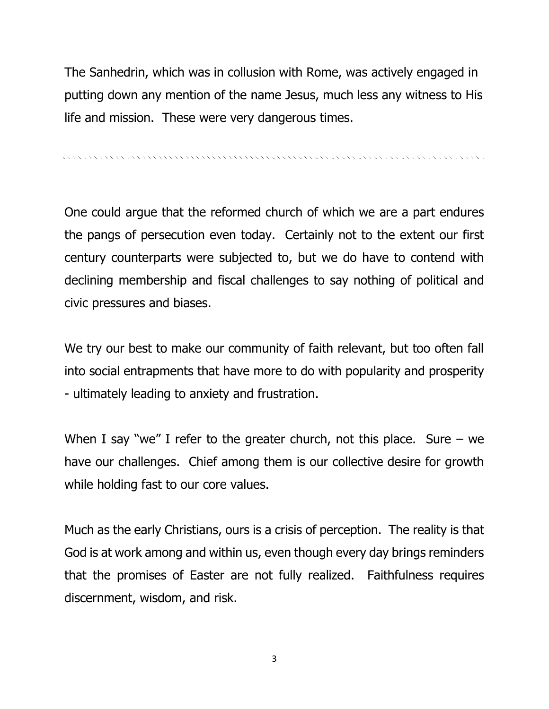The Sanhedrin, which was in collusion with Rome, was actively engaged in putting down any mention of the name Jesus, much less any witness to His life and mission. These were very dangerous times.

. A concert and a concert and a concert and a concert and a concert and a concert and a concert and a concert

One could argue that the reformed church of which we are a part endures the pangs of persecution even today. Certainly not to the extent our first century counterparts were subjected to, but we do have to contend with declining membership and fiscal challenges to say nothing of political and civic pressures and biases.

We try our best to make our community of faith relevant, but too often fall into social entrapments that have more to do with popularity and prosperity - ultimately leading to anxiety and frustration.

When I say "we" I refer to the greater church, not this place. Sure  $-$  we have our challenges. Chief among them is our collective desire for growth while holding fast to our core values.

Much as the early Christians, ours is a crisis of perception. The reality is that God is at work among and within us, even though every day brings reminders that the promises of Easter are not fully realized. Faithfulness requires discernment, wisdom, and risk.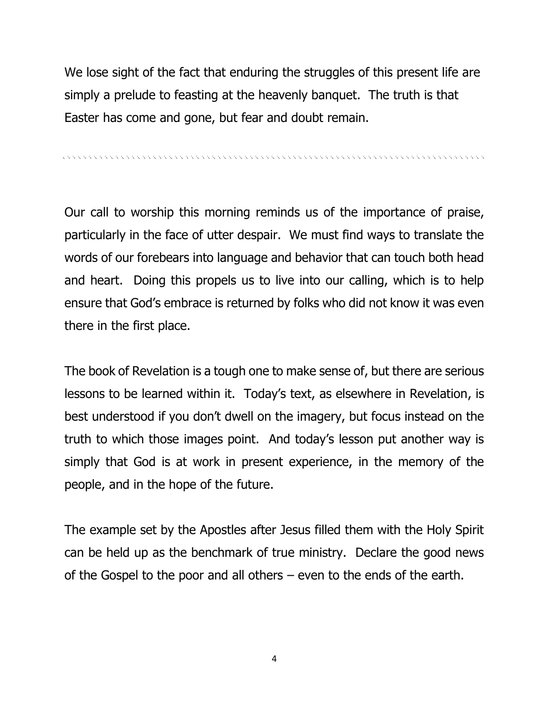We lose sight of the fact that enduring the struggles of this present life are simply a prelude to feasting at the heavenly banquet. The truth is that Easter has come and gone, but fear and doubt remain.

, a concert a concert a concert and a concert and a concert and a concert and a concert and a concert and a co

Our call to worship this morning reminds us of the importance of praise, particularly in the face of utter despair. We must find ways to translate the words of our forebears into language and behavior that can touch both head and heart. Doing this propels us to live into our calling, which is to help ensure that God's embrace is returned by folks who did not know it was even there in the first place.

The book of Revelation is a tough one to make sense of, but there are serious lessons to be learned within it. Today's text, as elsewhere in Revelation, is best understood if you don't dwell on the imagery, but focus instead on the truth to which those images point. And today's lesson put another way is simply that God is at work in present experience, in the memory of the people, and in the hope of the future.

The example set by the Apostles after Jesus filled them with the Holy Spirit can be held up as the benchmark of true ministry. Declare the good news of the Gospel to the poor and all others – even to the ends of the earth.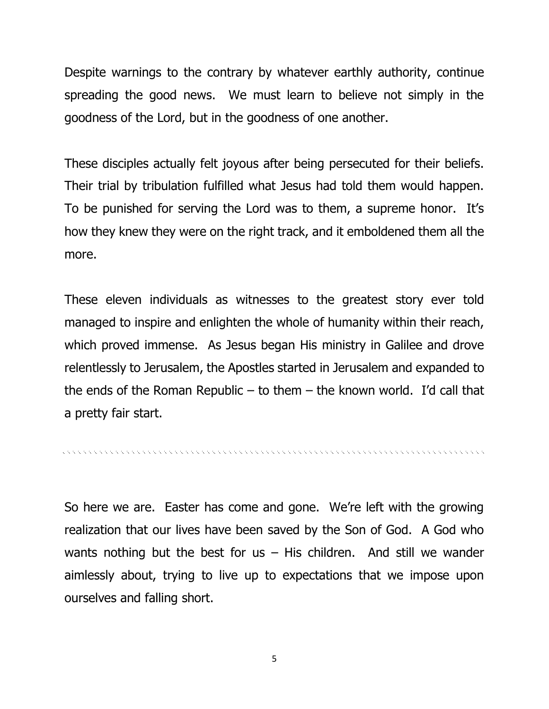Despite warnings to the contrary by whatever earthly authority, continue spreading the good news. We must learn to believe not simply in the goodness of the Lord, but in the goodness of one another.

These disciples actually felt joyous after being persecuted for their beliefs. Their trial by tribulation fulfilled what Jesus had told them would happen. To be punished for serving the Lord was to them, a supreme honor. It's how they knew they were on the right track, and it emboldened them all the more.

These eleven individuals as witnesses to the greatest story ever told managed to inspire and enlighten the whole of humanity within their reach, which proved immense. As Jesus began His ministry in Galilee and drove relentlessly to Jerusalem, the Apostles started in Jerusalem and expanded to the ends of the Roman Republic – to them – the known world. I'd call that a pretty fair start.

So here we are. Easter has come and gone. We're left with the growing realization that our lives have been saved by the Son of God. A God who wants nothing but the best for us  $-$  His children. And still we wander aimlessly about, trying to live up to expectations that we impose upon ourselves and falling short.